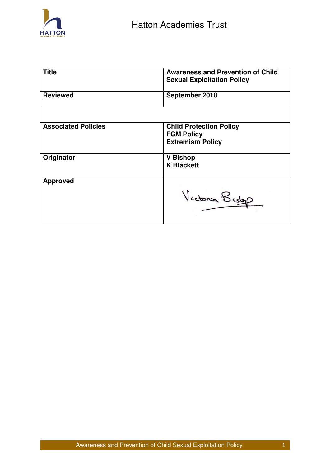

| <b>Title</b>               | <b>Awareness and Prevention of Child</b><br><b>Sexual Exploitation Policy</b>  |
|----------------------------|--------------------------------------------------------------------------------|
| <b>Reviewed</b>            | September 2018                                                                 |
|                            |                                                                                |
| <b>Associated Policies</b> | <b>Child Protection Policy</b><br><b>FGM Policy</b><br><b>Extremism Policy</b> |
| Originator                 | <b>Bishop</b><br>V<br><b>K Blackett</b>                                        |
| <b>Approved</b>            | Victoria Bistop                                                                |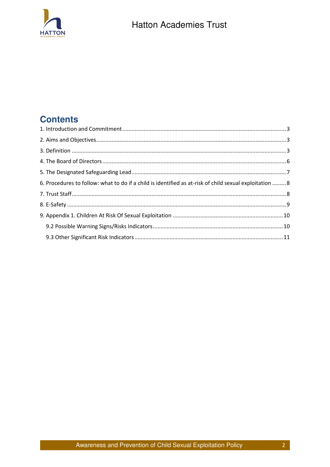

## **Contents**

| 6. Procedures to follow: what to do if a child is identified as at-risk of child sexual exploitation  8 |  |
|---------------------------------------------------------------------------------------------------------|--|
|                                                                                                         |  |
|                                                                                                         |  |
|                                                                                                         |  |
|                                                                                                         |  |
|                                                                                                         |  |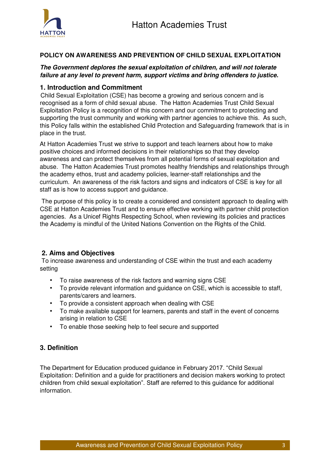

### **POLICY ON AWARENESS AND PREVENTION OF CHILD SEXUAL EXPLOITATION**

### *The Government deplores the sexual exploitation of children, and will not tolerate failure at any level to prevent harm, support victims and bring offenders to justice.*

### <span id="page-2-0"></span>**1. Introduction and Commitment**

Child Sexual Exploitation (CSE) has become a growing and serious concern and is recognised as a form of child sexual abuse. The Hatton Academies Trust Child Sexual Exploitation Policy is a recognition of this concern and our commitment to protecting and supporting the trust community and working with partner agencies to achieve this. As such, this Policy falls within the established Child Protection and Safeguarding framework that is in place in the trust.

At Hatton Academies Trust we strive to support and teach learners about how to make positive choices and informed decisions in their relationships so that they develop awareness and can protect themselves from all potential forms of sexual exploitation and abuse. The Hatton Academies Trust promotes healthy friendships and relationships through the academy ethos, trust and academy policies, learner-staff relationships and the curriculum. An awareness of the risk factors and signs and indicators of CSE is key for all staff as is how to access support and guidance.

 The purpose of this policy is to create a considered and consistent approach to dealing with CSE at Hatton Academies Trust and to ensure effective working with partner child protection agencies. As a Unicef Rights Respecting School, when reviewing its policies and practices the Academy is mindful of the United Nations Convention on the Rights of the Child.

### <span id="page-2-1"></span> **2. Aims and Objectives**

 To increase awareness and understanding of CSE within the trust and each academy setting

- To raise awareness of the risk factors and warning signs CSE
- To provide relevant information and guidance on CSE, which is accessible to staff, parents/carers and learners.
- To provide a consistent approach when dealing with CSE
- To make available support for learners, parents and staff in the event of concerns arising in relation to CSE
- To enable those seeking help to feel secure and supported

### <span id="page-2-2"></span>**3. Definition**

The Department for Education produced guidance in February 2017. "Child Sexual Exploitation: Definition and a guide for practitioners and decision makers working to protect children from child sexual exploitation". Staff are referred to this guidance for additional information.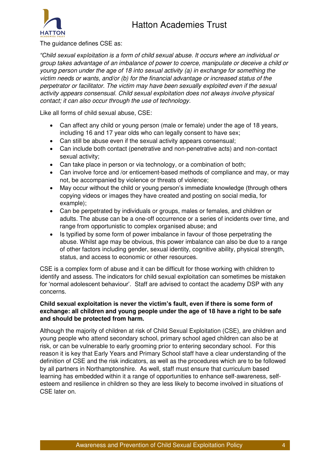## Hatton Academies Trust



The guidance defines CSE as:

*"Child sexual exploitation is a form of child sexual abuse. It occurs where an individual or group takes advantage of an imbalance of power to coerce, manipulate or deceive a child or young person under the age of 18 into sexual activity (a) in exchange for something the victim needs or wants, and/or (b) for the financial advantage or increased status of the perpetrator or facilitator. The victim may have been sexually exploited even if the sexual activity appears consensual. Child sexual exploitation does not always involve physical contact; it can also occur through the use of technology.* 

Like all forms of child sexual abuse, CSE:

- Can affect any child or young person (male or female) under the age of 18 years, including 16 and 17 year olds who can legally consent to have sex;
- Can still be abuse even if the sexual activity appears consensual;
- Can include both contact (penetrative and non-penetrative acts) and non-contact sexual activity;
- Can take place in person or via technology, or a combination of both;
- Can involve force and /or enticement-based methods of compliance and may, or may not, be accompanied by violence or threats of violence;
- May occur without the child or young person's immediate knowledge (through others copying videos or images they have created and posting on social media, for example);
- Can be perpetrated by individuals or groups, males or females, and children or adults. The abuse can be a one-off occurrence or a series of incidents over time, and range from opportunistic to complex organised abuse; and
- Is typified by some form of power imbalance in favour of those perpetrating the abuse. Whilst age may be obvious, this power imbalance can also be due to a range of other factors including gender, sexual identity, cognitive ability, physical strength, status, and access to economic or other resources.

CSE is a complex form of abuse and it can be difficult for those working with children to identify and assess. The indicators for child sexual exploitation can sometimes be mistaken for 'normal adolescent behaviour'. Staff are advised to contact the academy DSP with any concerns.

### **Child sexual exploitation is never the victim's fault, even if there is some form of exchange: all children and young people under the age of 18 have a right to be safe and should be protected from harm.**

Although the majority of children at risk of Child Sexual Exploitation (CSE), are children and young people who attend secondary school, primary school aged children can also be at risk, or can be vulnerable to early grooming prior to entering secondary school. For this reason it is key that Early Years and Primary School staff have a clear understanding of the definition of CSE and the risk indicators, as well as the procedures which are to be followed by all partners in Northamptonshire. As well, staff must ensure that curriculum based learning has embedded within it a range of opportunities to enhance self-awareness, selfesteem and resilience in children so they are less likely to become involved in situations of CSE later on.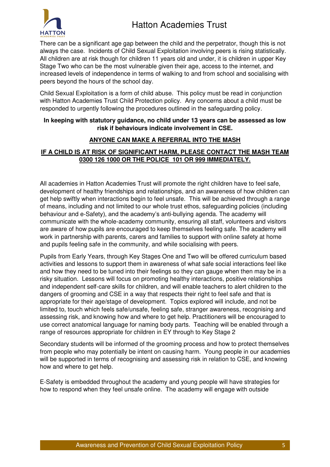

There can be a significant age gap between the child and the perpetrator, though this is not always the case. Incidents of Child Sexual Exploitation involving peers is rising statistically. All children are at risk though for children 11 years old and under, it is children in upper Key Stage Two who can be the most vulnerable given their age, access to the internet, and increased levels of independence in terms of walking to and from school and socialising with peers beyond the hours of the school day.

Child Sexual Exploitation is a form of child abuse. This policy must be read in conjunction with Hatton Academies Trust Child Protection policy. Any concerns about a child must be responded to urgently following the procedures outlined in the safeguarding policy.

### **In keeping with statutory guidance, no child under 13 years can be assessed as low risk if behaviours indicate involvement in CSE.**

## **ANYONE CAN MAKE A REFERRAL INTO THE MASH**

### **IF A CHILD IS AT RISK OF SIGNIFICANT HARM, PLEASE CONTACT THE MASH TEAM 0300 126 1000 OR THE POLICE 101 OR 999 IMMEDIATELY.**

All academies in Hatton Academies Trust will promote the right children have to feel safe, development of healthy friendships and relationships, and an awareness of how children can get help swiftly when interactions begin to feel unsafe. This will be achieved through a range of means, including and not limited to our whole trust ethos, safeguarding policies (including behaviour and e-Safety), and the academy's anti-bullying agenda. The academy will communicate with the whole-academy community, ensuring all staff, volunteers and visitors are aware of how pupils are encouraged to keep themselves feeling safe. The academy will work in partnership with parents, carers and families to support with online safety at home and pupils feeling safe in the community, and while socialising with peers.

Pupils from Early Years, through Key Stages One and Two will be offered curriculum based activities and lessons to support them in awareness of what safe social interactions feel like and how they need to be tuned into their feelings so they can gauge when then may be in a risky situation. Lessons will focus on promoting healthy interactions, positive relationships and independent self-care skills for children, and will enable teachers to alert children to the dangers of grooming and CSE in a way that respects their right to feel safe and that is appropriate for their age/stage of development. Topics explored will include, and not be limited to, touch which feels safe/unsafe, feeling safe, stranger awareness, recognising and assessing risk, and knowing how and where to get help. Practitioners will be encouraged to use correct anatomical language for naming body parts. Teaching will be enabled through a range of resources appropriate for children in EY through to Key Stage 2

Secondary students will be informed of the grooming process and how to protect themselves from people who may potentially be intent on causing harm. Young people in our academies will be supported in terms of recognising and assessing risk in relation to CSE, and knowing how and where to get help.

E-Safety is embedded throughout the academy and young people will have strategies for how to respond when they feel unsafe online. The academy will engage with outside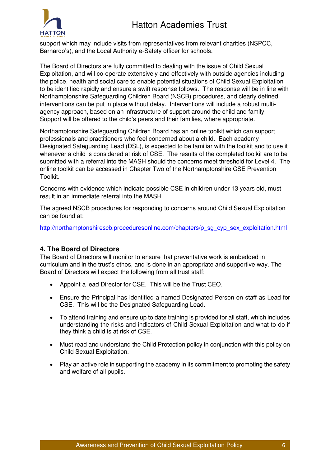# Hatton Academies Trust



support which may include visits from representatives from relevant charities (NSPCC, Barnardo's), and the Local Authority e-Safety officer for schools.

The Board of Directors are fully committed to dealing with the issue of Child Sexual Exploitation, and will co-operate extensively and effectively with outside agencies including the police, health and social care to enable potential situations of Child Sexual Exploitation to be identified rapidly and ensure a swift response follows. The response will be in line with Northamptonshire Safeguarding Children Board (NSCB) procedures, and clearly defined interventions can be put in place without delay. Interventions will include a robust multiagency approach, based on an infrastructure of support around the child and family. Support will be offered to the child's peers and their families, where appropriate.

Northamptonshire Safeguarding Children Board has an online toolkit which can support professionals and practitioners who feel concerned about a child. Each academy Designated Safeguarding Lead (DSL), is expected to be familiar with the toolkit and to use it whenever a child is considered at risk of CSE. The results of the completed toolkit are to be submitted with a referral into the MASH should the concerns meet threshold for Level 4. The online toolkit can be accessed in Chapter Two of the Northamptonshire CSE Prevention Toolkit.

Concerns with evidence which indicate possible CSE in children under 13 years old, must result in an immediate referral into the MASH.

The agreed NSCB procedures for responding to concerns around Child Sexual Exploitation can be found at:

http://northamptonshirescb.proceduresonline.com/chapters/p\_sq\_cyp\_sex\_exploitation.html

### <span id="page-5-0"></span>**4. The Board of Directors**

The Board of Directors will monitor to ensure that preventative work is embedded in curriculum and in the trust's ethos, and is done in an appropriate and supportive way. The Board of Directors will expect the following from all trust staff:

- Appoint a lead Director for CSE. This will be the Trust CEO.
- Ensure the Principal has identified a named Designated Person on staff as Lead for CSE. This will be the Designated Safeguarding Lead.
- To attend training and ensure up to date training is provided for all staff, which includes understanding the risks and indicators of Child Sexual Exploitation and what to do if they think a child is at risk of CSE.
- Must read and understand the Child Protection policy in conjunction with this policy on Child Sexual Exploitation.
- Play an active role in supporting the academy in its commitment to promoting the safety and welfare of all pupils.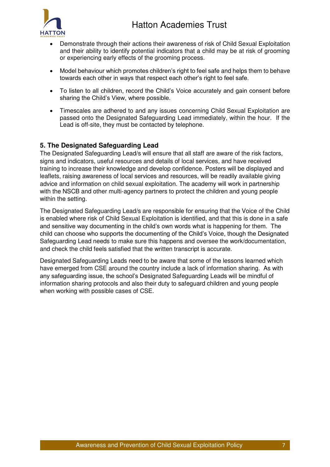

- Demonstrate through their actions their awareness of risk of Child Sexual Exploitation and their ability to identify potential indicators that a child may be at risk of grooming or experiencing early effects of the grooming process.
- Model behaviour which promotes children's right to feel safe and helps them to behave towards each other in ways that respect each other's right to feel safe.
- To listen to all children, record the Child's Voice accurately and gain consent before sharing the Child's View, where possible.
- Timescales are adhered to and any issues concerning Child Sexual Exploitation are passed onto the Designated Safeguarding Lead immediately, within the hour. If the Lead is off-site, they must be contacted by telephone.

## <span id="page-6-0"></span>**5. The Designated Safeguarding Lead**

The Designated Safeguarding Lead/s will ensure that all staff are aware of the risk factors, signs and indicators, useful resources and details of local services, and have received training to increase their knowledge and develop confidence. Posters will be displayed and leaflets, raising awareness of local services and resources, will be readily available giving advice and information on child sexual exploitation. The academy will work in partnership with the NSCB and other multi-agency partners to protect the children and young people within the setting.

The Designated Safeguarding Lead/s are responsible for ensuring that the Voice of the Child is enabled where risk of Child Sexual Exploitation is identified, and that this is done in a safe and sensitive way documenting in the child's own words what is happening for them. The child can choose who supports the documenting of the Child's Voice, though the Designated Safeguarding Lead needs to make sure this happens and oversee the work/documentation, and check the child feels satisfied that the written transcript is accurate.

Designated Safeguarding Leads need to be aware that some of the lessons learned which have emerged from CSE around the country include a lack of information sharing. As with any safeguarding issue, the school's Designated Safeguarding Leads will be mindful of information sharing protocols and also their duty to safeguard children and young people when working with possible cases of CSE.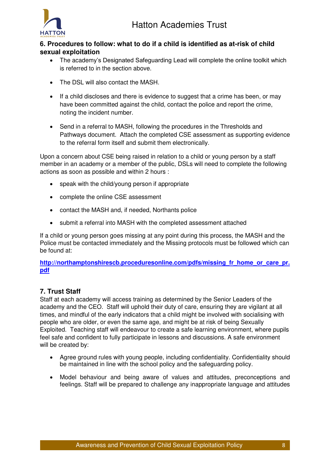



## <span id="page-7-0"></span>**6. Procedures to follow: what to do if a child is identified as at-risk of child sexual exploitation**

- The academy's Designated Safeguarding Lead will complete the online toolkit which is referred to in the section above.
- The DSL will also contact the MASH.
- If a child discloses and there is evidence to suggest that a crime has been, or may have been committed against the child, contact the police and report the crime, noting the incident number.
- Send in a referral to MASH, following the procedures in the Thresholds and Pathways document. Attach the completed CSE assessment as supporting evidence to the referral form itself and submit them electronically.

Upon a concern about CSE being raised in relation to a child or young person by a staff member in an academy or a member of the public, DSLs will need to complete the following actions as soon as possible and within 2 hours :

- speak with the child/young person if appropriate
- complete the online CSE assessment
- contact the MASH and, if needed, Northants police
- submit a referral into MASH with the completed assessment attached

If a child or young person goes missing at any point during this process, the MASH and the Police must be contacted immediately and the Missing protocols must be followed which can be found at:

**[http://northamptonshirescb.proceduresonline.com/pdfs/missing\\_fr\\_home\\_or\\_care\\_pr.](http://northamptonshirescb.proceduresonline.com/pdfs/missing_fr_home_or_care_pr.pdf) [pdf](http://northamptonshirescb.proceduresonline.com/pdfs/missing_fr_home_or_care_pr.pdf)**

## <span id="page-7-1"></span>**7. Trust Staff**

Staff at each academy will access training as determined by the Senior Leaders of the academy and the CEO. Staff will uphold their duty of care, ensuring they are vigilant at all times, and mindful of the early indicators that a child might be involved with socialising with people who are older, or even the same age, and might be at risk of being Sexually Exploited. Teaching staff will endeavour to create a safe learning environment, where pupils feel safe and confident to fully participate in lessons and discussions. A safe environment will be created by:

- Agree ground rules with young people, including confidentiality. Confidentiality should be maintained in line with the school policy and the safeguarding policy.
- Model behaviour and being aware of values and attitudes, preconceptions and feelings. Staff will be prepared to challenge any inappropriate language and attitudes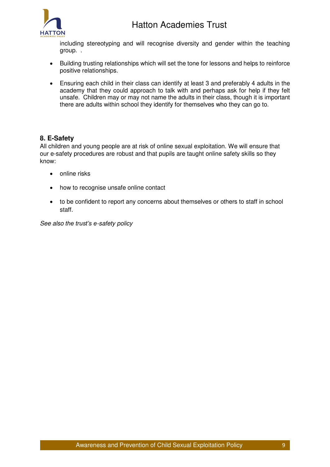

including stereotyping and will recognise diversity and gender within the teaching group. .

- Building trusting relationships which will set the tone for lessons and helps to reinforce positive relationships.
- Ensuring each child in their class can identify at least 3 and preferably 4 adults in the academy that they could approach to talk with and perhaps ask for help if they felt unsafe. Children may or may not name the adults in their class, though it is important there are adults within school they identify for themselves who they can go to.

## <span id="page-8-0"></span>**8. E-Safety**

All children and young people are at risk of online sexual exploitation. We will ensure that our e-safety procedures are robust and that pupils are taught online safety skills so they know:

- online risks
- how to recognise unsafe online contact
- to be confident to report any concerns about themselves or others to staff in school staff.

*See also the trust's e-safety policy*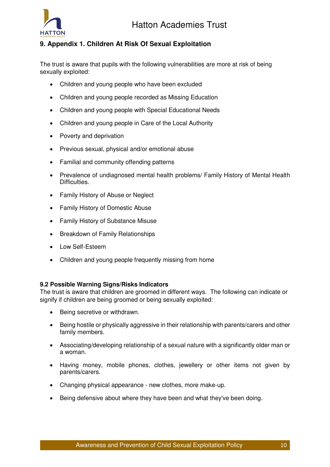

## <span id="page-9-0"></span>**9. Appendix 1. Children At Risk Of Sexual Exploitation**

The trust is aware that pupils with the following vulnerabilities are more at risk of being sexually exploited:

- Children and young people who have been excluded
- Children and young people recorded as Missing Education
- Children and young people with Special Educational Needs
- Children and young people in Care of the Local Authority
- Poverty and deprivation
- Previous sexual, physical and/or emotional abuse
- Familial and community offending patterns
- Prevalence of undiagnosed mental health problems/ Family History of Mental Health Difficulties.
- Family History of Abuse or Neglect
- Family History of Domestic Abuse
- Family History of Substance Misuse
- Breakdown of Family Relationships
- Low Self-Esteem
- Children and young people frequently missing from home

#### <span id="page-9-1"></span>**9.2 Possible Warning Signs/Risks Indicators**

The trust is aware that children are groomed in different ways. The following can indicate or signify if children are being groomed or being sexually exploited:

- Being secretive or withdrawn.
- Being hostile or physically aggressive in their relationship with parents/carers and other family members.
- Associating/developing relationship of a sexual nature with a significantly older man or a woman.
- Having money, mobile phones, clothes, jewellery or other items not given by parents/carers.
- Changing physical appearance new clothes, more make-up.
- Being defensive about where they have been and what they've been doing.